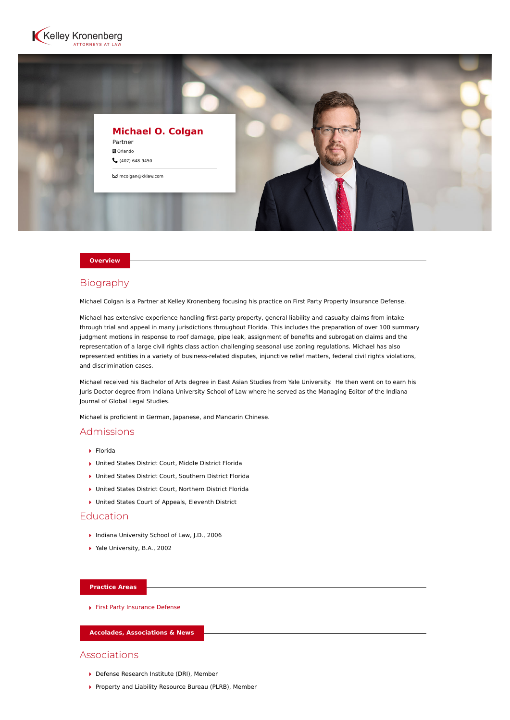



#### **Overview**

# Biography

Michael Colgan is a Partner at Kelley Kronenberg focusing his practice on First Party Property Insurance Defense.

Michael has extensive experience handling first-party property, general liability and casualty claims from intake through trial and appeal in many jurisdictions throughout Florida. This includes the preparation of over 100 summary judgment motions in response to roof damage, pipe leak, assignment of benefits and subrogation claims and the representation of a large civil rights class action challenging seasonal use zoning regulations. Michael has also represented entities in a variety of business-related disputes, injunctive relief matters, federal civil rights violations, and discrimination cases.

Michael received his Bachelor of Arts degree in East Asian Studies from Yale University. He then went on to earn his Juris Doctor degree from Indiana University School of Law where he served as the Managing Editor of the Indiana Journal of Global Legal Studies.

Michael is proficient in German, Japanese, and Mandarin Chinese.

## Admissions

- $\blacktriangleright$  Florida
- United States District Court, Middle District Florida
- United States District Court, Southern District Florida
- United States District Court, Northern District Florida
- ▶ United States Court of Appeals, Eleventh District

### Education

- ▶ Indiana University School of Law, J.D., 2006
- ▶ Yale University, B.A., 2002

#### **Practice Areas**

[First Party Insurance Defense](https://www.kelleykronenberg.com/our-practices/first-party-insurance-defense-coverage-bad-faith/)

**Accolades, Associations & News**

#### Associations

- ▶ Defense Research Institute (DRI), Member
- Property and Liability Resource Bureau (PLRB), Member